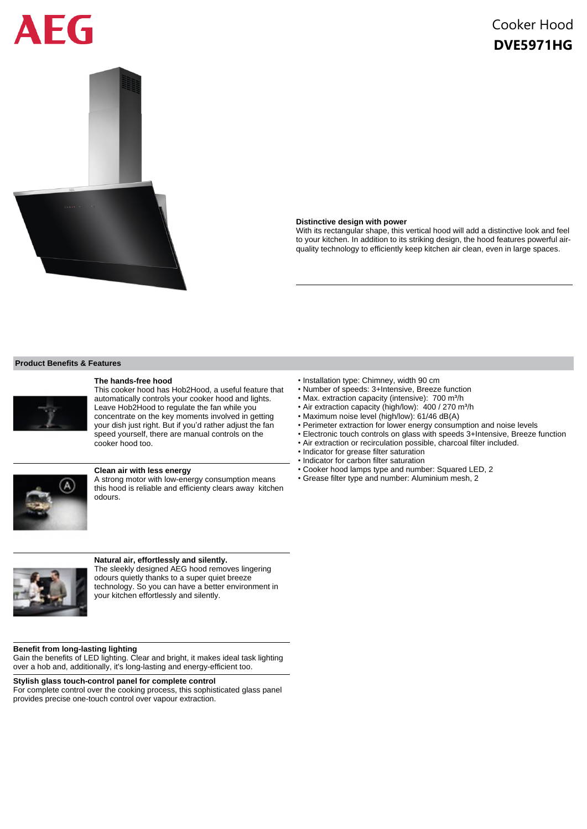# EG



# Cooker Hood **DVE5971HG**

#### **Distinctive design with power**

With its rectangular shape, this vertical hood will add a distinctive look and feel to your kitchen. In addition to its striking design, the hood features powerful airquality technology to efficiently keep kitchen air clean, even in large spaces.

## **Product Benefits & Features**



## **The hands-free hood**

This cooker hood has Hob2Hood, a useful feature that automatically controls your cooker hood and lights. Leave Hob2Hood to regulate the fan while you concentrate on the key moments involved in getting your dish just right. But if you'd rather adjust the fan speed yourself, there are manual controls on the cooker hood too.



# **Clean air with less energy**

A strong motor with low-energy consumption means this hood is reliable and efficienty clears away kitchen odours.



## **Natural air, effortlessly and silently.**

The sleekly designed AEG hood removes lingering odours quietly thanks to a super quiet breeze technology. So you can have a better environment in your kitchen effortlessly and silently.

#### **Benefit from long-lasting lighting**

Gain the benefits of LED lighting. Clear and bright, it makes ideal task lighting over a hob and, additionally, it's long-lasting and energy-efficient too.

## **Stylish glass touch-control panel for complete control**

For complete control over the cooking process, this sophisticated glass panel provides precise one-touch control over vapour extraction.

- Installation type: Chimney, width 90 cm
- Number of speeds: 3+Intensive, Breeze function
- Max. extraction capacity (intensive): 700 m<sup>3</sup>/h
- Air extraction capacity (high/low): 400 / 270 m<sup>3</sup>/h
- Maximum noise level (high/low): 61/46 dB(A)
- Perimeter extraction for lower energy consumption and noise levels
- Electronic touch controls on glass with speeds 3+Intensive, Breeze function
- Air extraction or recirculation possible, charcoal filter included.
- Indicator for grease filter saturation
- Indicator for carbon filter saturation
- Cooker hood lamps type and number: Squared LED, 2
- Grease filter type and number: Aluminium mesh, 2